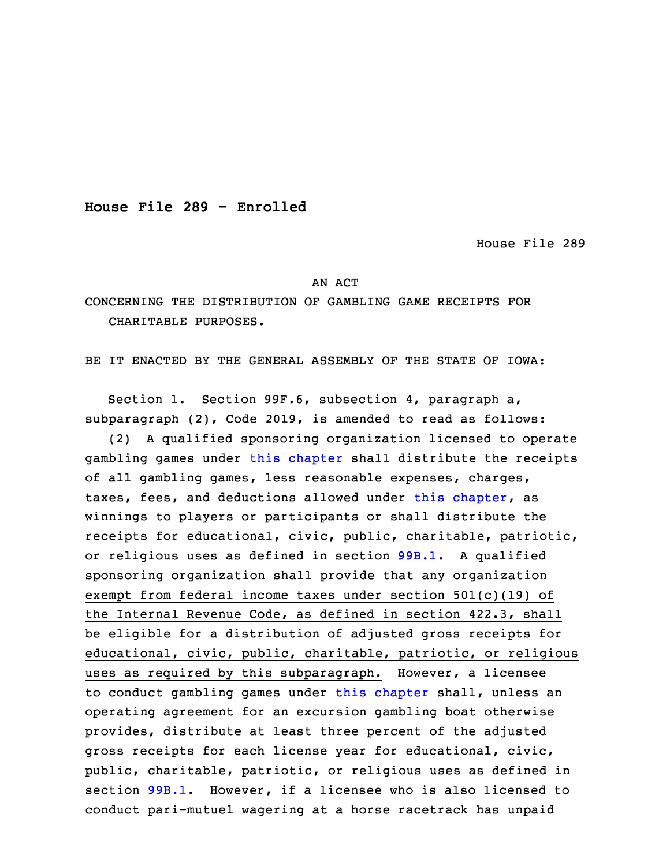**House File 289 - Enrolled**

House File 289

## AN ACT

CONCERNING THE DISTRIBUTION OF GAMBLING GAME RECEIPTS FOR CHARITABLE PURPOSES.

BE IT ENACTED BY THE GENERAL ASSEMBLY OF THE STATE OF IOWA:

 Section 1. Section 99F.6, subsection 4, paragraph a, subparagraph (2), Code 2019, is amended to read as follows:

3 (2) <sup>A</sup> qualified sponsoring organization licensed to operate gambling games under this [chapter](https://www.legis.iowa.gov/docs/code/2019/99F.pdf) shall distribute the receipts of all gambling games, less reasonable expenses, charges, taxes, fees, and deductions allowed under this [chapter](https://www.legis.iowa.gov/docs/code/2019/99F.pdf), as winnings to players or participants or shall distribute the receipts for educational, civic, public, charitable, patriotic, or religious uses as defined in section [99B.1](https://www.legis.iowa.gov/docs/code/2019/99B.1.pdf). A qualified sponsoring organization shall provide that any organization exempt from federal income taxes under section 501(c)(19) of the Internal Revenue Code, as defined in section 422.3, shall be eligible for a distribution of adjusted gross receipts for educational, civic, public, charitable, patriotic, or religious uses as required by this subparagraph. However, a licensee to conduct gambling games under this [chapter](https://www.legis.iowa.gov/docs/code/2019/99F.pdf) shall, unless an operating agreement for an excursion gambling boat otherwise provides, distribute at least three percent of the adjusted gross receipts for each license year for educational, civic, public, charitable, patriotic, or religious uses as defined in section [99B.1](https://www.legis.iowa.gov/docs/code/2019/99B.1.pdf). However, if <sup>a</sup> licensee who is also licensed to conduct pari-mutuel wagering at <sup>a</sup> horse racetrack has unpaid